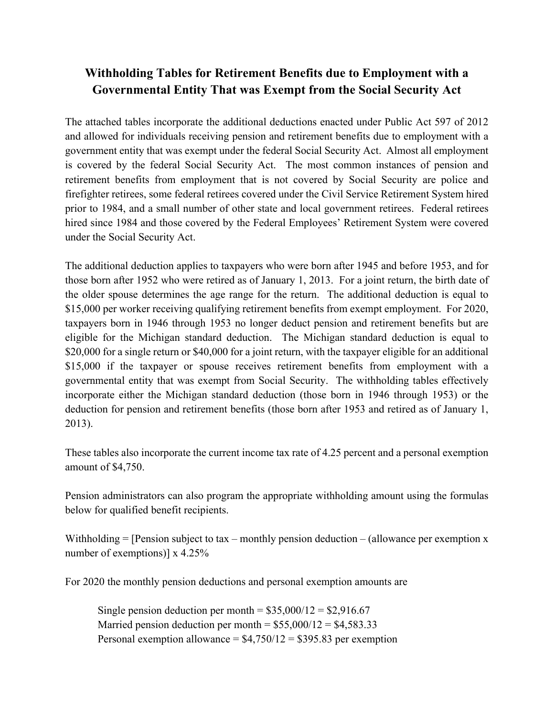# **Withholding Tables for Retirement Benefits due to Employment with a Governmental Entity That was Exempt from the Social Security Act**

 prior to 1984, and a small number of other state and local government retirees. Federal retirees The attached tables incorporate the additional deductions enacted under Public Act 597 of 2012 and allowed for individuals receiving pension and retirement benefits due to employment with a government entity that was exempt under the federal Social Security Act. Almost all employment is covered by the federal Social Security Act. The most common instances of pension and retirement benefits from employment that is not covered by Social Security are police and firefighter retirees, some federal retirees covered under the Civil Service Retirement System hired hired since 1984 and those covered by the Federal Employees' Retirement System were covered under the Social Security Act.

 those born after 1952 who were retired as of January 1, 2013. For a joint return, the birth date of The additional deduction applies to taxpayers who were born after 1945 and before 1953, and for the older spouse determines the age range for the return. The additional deduction is equal to \$15,000 per worker receiving qualifying retirement benefits from exempt employment. For 2020, taxpayers born in 1946 through 1953 no longer deduct pension and retirement benefits but are eligible for the Michigan standard deduction. The Michigan standard deduction is equal to \$20,000 for a single return or \$40,000 for a joint return, with the taxpayer eligible for an additional \$15,000 if the taxpayer or spouse receives retirement benefits from employment with a governmental entity that was exempt from Social Security. The withholding tables effectively incorporate either the Michigan standard deduction (those born in 1946 through 1953) or the deduction for pension and retirement benefits (those born after 1953 and retired as of January 1, 2013).

These tables also incorporate the current income tax rate of 4.25 percent and a personal exemption amount of \$4,750.

Pension administrators can also program the appropriate withholding amount using the formulas below for qualified benefit recipients.

Withholding  $=$  [Pension subject to tax – monthly pension deduction – (allowance per exemption x number of exemptions)] x 4.25%

For 2020 the monthly pension deductions and personal exemption amounts are

Single pension deduction per month =  $$35,000/12 = $2,916.67$  $$35,000/12 = $2,916.67$ Married pension deduction per month  $= $55,000/12 = $4,583.33$  $= $55,000/12 = $4,583.33$ Personal exemption allowance =  $$4,750/12 = $395.83$  per exemption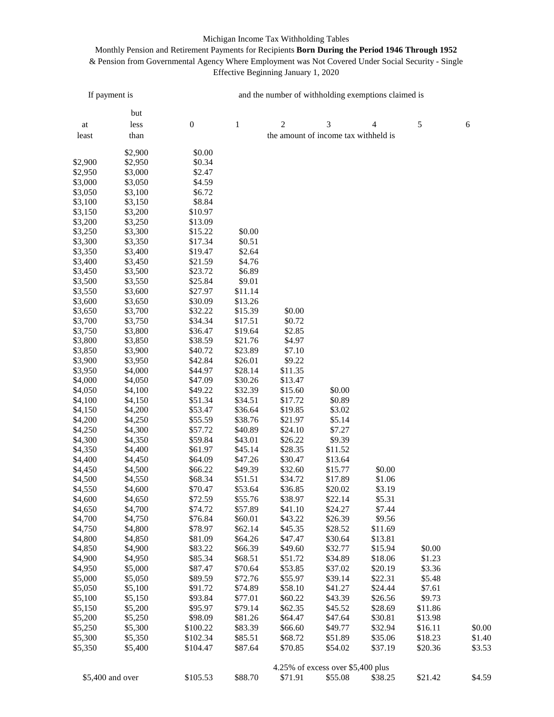### Michigan Income Tax Withholding Tables

## Monthly Pension and Retirement Payments for Recipients **Born During the Period 1946 Through 1952**  & Pension from Governmental Agency Where Employment was Not Covered Under Social Security - Single Effective Beginning January 1, 2020

| If payment is       |                    | and the number of withholding exemptions claimed is |                    |                                      |                                   |                  |            |            |  |  |
|---------------------|--------------------|-----------------------------------------------------|--------------------|--------------------------------------|-----------------------------------|------------------|------------|------------|--|--|
|                     |                    |                                                     |                    |                                      |                                   |                  |            |            |  |  |
|                     | but                |                                                     |                    |                                      |                                   |                  |            |            |  |  |
| $\operatorname{at}$ | less               | $\boldsymbol{0}$                                    | $\,1\,$            | $\sqrt{2}$                           | 3                                 | 4                | $\sqrt{5}$ | $\sqrt{6}$ |  |  |
| least               | than               |                                                     |                    | the amount of income tax withheld is |                                   |                  |            |            |  |  |
|                     | \$2,900            | \$0.00                                              |                    |                                      |                                   |                  |            |            |  |  |
| \$2,900             | \$2,950            | \$0.34                                              |                    |                                      |                                   |                  |            |            |  |  |
| \$2,950             | \$3,000            | \$2.47                                              |                    |                                      |                                   |                  |            |            |  |  |
| \$3,000             | \$3,050            | \$4.59                                              |                    |                                      |                                   |                  |            |            |  |  |
| \$3,050             | \$3,100            | \$6.72                                              |                    |                                      |                                   |                  |            |            |  |  |
| \$3,100             | \$3,150            | \$8.84                                              |                    |                                      |                                   |                  |            |            |  |  |
| \$3,150             | \$3,200            | \$10.97                                             |                    |                                      |                                   |                  |            |            |  |  |
| \$3,200             | \$3,250            | \$13.09                                             |                    |                                      |                                   |                  |            |            |  |  |
| \$3,250             | \$3,300            | \$15.22                                             | \$0.00             |                                      |                                   |                  |            |            |  |  |
| \$3,300             | \$3,350            | \$17.34                                             | \$0.51             |                                      |                                   |                  |            |            |  |  |
| \$3,350             | \$3,400            | \$19.47                                             | \$2.64             |                                      |                                   |                  |            |            |  |  |
| \$3,400             | \$3,450            | \$21.59                                             | \$4.76             |                                      |                                   |                  |            |            |  |  |
| \$3,450             | \$3,500            | \$23.72                                             | \$6.89             |                                      |                                   |                  |            |            |  |  |
| \$3,500             | \$3,550            | \$25.84                                             | \$9.01             |                                      |                                   |                  |            |            |  |  |
| \$3,550             | \$3,600            | \$27.97                                             | \$11.14            |                                      |                                   |                  |            |            |  |  |
| \$3,600             | \$3,650            | \$30.09                                             | \$13.26            |                                      |                                   |                  |            |            |  |  |
| \$3,650             | \$3,700            | \$32.22                                             | \$15.39            | \$0.00                               |                                   |                  |            |            |  |  |
| \$3,700             | \$3,750            | \$34.34                                             | \$17.51            | \$0.72                               |                                   |                  |            |            |  |  |
| \$3,750             | \$3,800            | \$36.47                                             | \$19.64            | \$2.85                               |                                   |                  |            |            |  |  |
| \$3,800             | \$3,850            | \$38.59                                             | \$21.76            | \$4.97                               |                                   |                  |            |            |  |  |
| \$3,850             | \$3,900            | \$40.72                                             | \$23.89            | \$7.10                               |                                   |                  |            |            |  |  |
| \$3,900             | \$3,950            | \$42.84                                             | \$26.01            | \$9.22                               |                                   |                  |            |            |  |  |
| \$3,950             | \$4,000            | \$44.97                                             | \$28.14            | \$11.35                              |                                   |                  |            |            |  |  |
| \$4,000             | \$4,050            | \$47.09                                             | \$30.26            | \$13.47                              |                                   |                  |            |            |  |  |
| \$4,050             | \$4,100            | \$49.22                                             | \$32.39            | \$15.60                              | \$0.00                            |                  |            |            |  |  |
| \$4,100             | \$4,150            | \$51.34                                             | \$34.51            | \$17.72                              | \$0.89                            |                  |            |            |  |  |
| \$4,150             | \$4,200            | \$53.47                                             | \$36.64            | \$19.85                              | \$3.02                            |                  |            |            |  |  |
| \$4,200             | \$4,250            | \$55.59                                             | \$38.76            | \$21.97                              | \$5.14                            |                  |            |            |  |  |
| \$4,250             | \$4,300            | \$57.72                                             | \$40.89            | \$24.10                              | \$7.27                            |                  |            |            |  |  |
| \$4,300             | \$4,350            | \$59.84                                             | \$43.01            | \$26.22                              | \$9.39                            |                  |            |            |  |  |
| \$4,350             | \$4,400            | \$61.97                                             | \$45.14            | \$28.35                              | \$11.52                           |                  |            |            |  |  |
| \$4,400             | \$4,450            | \$64.09                                             | \$47.26            | \$30.47                              | \$13.64                           |                  |            |            |  |  |
| \$4,450             | \$4,500            | \$66.22                                             | \$49.39            | \$32.60                              | \$15.77                           | \$0.00           |            |            |  |  |
| \$4,500             | \$4,550            | \$68.34                                             | \$51.51            | \$34.72                              | \$17.89                           | \$1.06           |            |            |  |  |
| \$4,550<br>\$4,600  | \$4,600<br>\$4,650 | \$70.47<br>\$72.59                                  | \$53.64<br>\$55.76 | \$36.85<br>\$38.97                   | \$20.02<br>\$22.14                | \$3.19<br>\$5.31 |            |            |  |  |
| \$4,650             | \$4,700            | \$74.72                                             | \$57.89            | \$41.10                              | \$24.27                           | \$7.44           |            |            |  |  |
| \$4,700             | \$4,750            | \$76.84                                             | \$60.01            | \$43.22                              | \$26.39                           | \$9.56           |            |            |  |  |
| \$4,750             | \$4,800            | \$78.97                                             | \$62.14            | \$45.35                              | \$28.52                           | \$11.69          |            |            |  |  |
| \$4,800             | \$4,850            | \$81.09                                             | \$64.26            | \$47.47                              | \$30.64                           | \$13.81          |            |            |  |  |
| \$4,850             | \$4,900            | \$83.22                                             | \$66.39            | \$49.60                              | \$32.77                           | \$15.94          | \$0.00     |            |  |  |
| \$4,900             | \$4,950            | \$85.34                                             | \$68.51            | \$51.72                              | \$34.89                           | \$18.06          | \$1.23     |            |  |  |
| \$4,950             | \$5,000            | \$87.47                                             | \$70.64            | \$53.85                              | \$37.02                           | \$20.19          | \$3.36     |            |  |  |
| \$5,000             | \$5,050            | \$89.59                                             | \$72.76            | \$55.97                              | \$39.14                           | \$22.31          | \$5.48     |            |  |  |
| \$5,050             | \$5,100            | \$91.72                                             | \$74.89            | \$58.10                              | \$41.27                           | \$24.44          | \$7.61     |            |  |  |
| \$5,100             | \$5,150            | \$93.84                                             | \$77.01            | \$60.22                              | \$43.39                           | \$26.56          | \$9.73     |            |  |  |
| \$5,150             | \$5,200            | \$95.97                                             | \$79.14            | \$62.35                              | \$45.52                           | \$28.69          | \$11.86    |            |  |  |
| \$5,200             | \$5,250            | \$98.09                                             | \$81.26            | \$64.47                              | \$47.64                           | \$30.81          | \$13.98    |            |  |  |
| \$5,250             | \$5,300            | \$100.22                                            | \$83.39            | \$66.60                              | \$49.77                           | \$32.94          | \$16.11    | \$0.00     |  |  |
| \$5,300             | \$5,350            | \$102.34                                            | \$85.51            | \$68.72                              | \$51.89                           | \$35.06          | \$18.23    | \$1.40     |  |  |
| \$5,350             | \$5,400            | \$104.47                                            | \$87.64            | \$70.85                              | \$54.02                           | \$37.19          | \$20.36    | \$3.53     |  |  |
|                     |                    |                                                     |                    |                                      |                                   |                  |            |            |  |  |
|                     |                    |                                                     |                    |                                      | 4.25% of excess over \$5,400 plus |                  |            |            |  |  |
|                     | \$5,400 and over   | \$105.53                                            | \$88.70            | \$71.91                              | \$55.08                           | \$38.25          | \$21.42    | \$4.59     |  |  |
|                     |                    |                                                     |                    |                                      |                                   |                  |            |            |  |  |